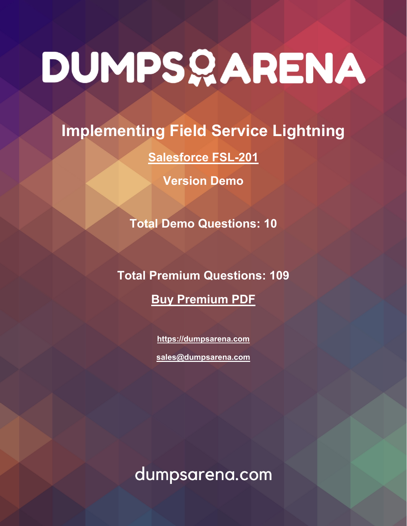# DUMPSQARENA

## **Implementing Field Service Lightning**

## **[Salesforce FSL-201](https://dumpsarena.com/exam/fsl-201/)**

**Version Demo**

**Total Demo Questions: 10**

**Total Premium Questions: 109 [Buy Premium PDF](https://dumpsarena.com/exam/fsl-201/)**

> **[https://dumpsarena.com](https://dumpsarena.com/) [sales@dumpsarena.com](mailto:sales@dumpsarena.com)**

dumpsarena.com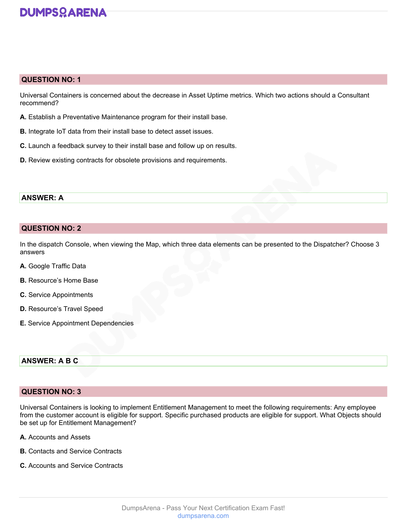### **DUMPSOARENA**

#### **QUESTION NO: 1**

Universal Containers is concerned about the decrease in Asset Uptime metrics. Which two actions should a Consultant recommend?

- **A.** Establish a Preventative Maintenance program for their install base.
- **B.** Integrate IoT data from their install base to detect asset issues.
- **C.** Launch a feedback survey to their install base and follow up on results.
- **D.** Review existing contracts for obsolete provisions and requirements.

#### **ANSWER: A**

#### **QUESTION NO: 2**

In the dispatch Console, when viewing the Map, which three data elements can be presented to the Dispatcher? Choose 3 answers

- **A.** Google Traffic Data
- **B.** Resource's Home Base
- **C.** Service Appointments
- **D.** Resource's Travel Speed
- **E.** Service Appointment Dependencies

#### **ANSWER: A B C**

#### **QUESTION NO: 3**

Universal Containers is looking to implement Entitlement Management to meet the following requirements: Any employee from the customer account is eligible for support. Specific purchased products are eligible for support. What Objects should be set up for Entitlement Management?

- **A.** Accounts and Assets
- **B.** Contacts and Service Contracts
- **C.** Accounts and Service Contracts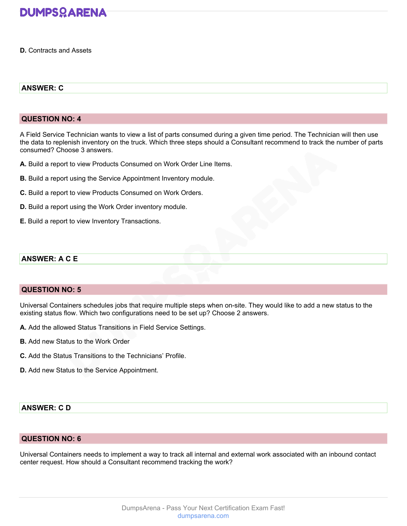

**D.** Contracts and Assets

#### **ANSWER: C**

#### **QUESTION NO: 4**

A Field Service Technician wants to view a list of parts consumed during a given time period. The Technician will then use the data to replenish inventory on the truck. Which three steps should a Consultant recommend to track the number of parts consumed? Choose 3 answers.

- **A.** Build a report to view Products Consumed on Work Order Line Items.
- **B.** Build a report using the Service Appointment Inventory module.
- **C.** Build a report to view Products Consumed on Work Orders.
- **D.** Build a report using the Work Order inventory module.
- **E.** Build a report to view Inventory Transactions.

#### **ANSWER: A C E**

#### **QUESTION NO: 5**

Universal Containers schedules jobs that require multiple steps when on-site. They would like to add a new status to the existing status flow. Which two configurations need to be set up? Choose 2 answers.

- **A.** Add the allowed Status Transitions in Field Service Settings.
- **B.** Add new Status to the Work Order
- **C.** Add the Status Transitions to the Technicians' Profile.
- **D.** Add new Status to the Service Appointment.

#### **ANSWER: C D**

#### **QUESTION NO: 6**

Universal Containers needs to implement a way to track all internal and external work associated with an inbound contact center request. How should a Consultant recommend tracking the work?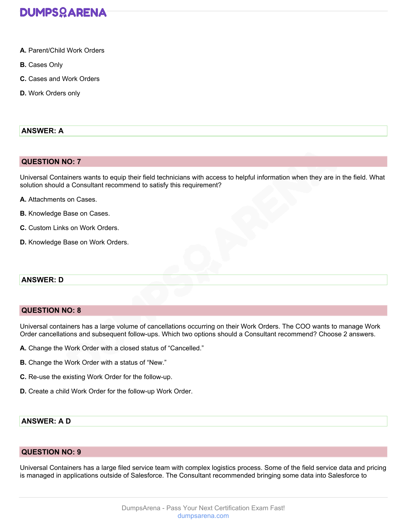

- **A.** Parent/Child Work Orders
- **B.** Cases Only
- **C.** Cases and Work Orders
- **D.** Work Orders only

#### **ANSWER: A**

#### **QUESTION NO: 7**

Universal Containers wants to equip their field technicians with access to helpful information when they are in the field. What solution should a Consultant recommend to satisfy this requirement?

- **A.** Attachments on Cases.
- **B.** Knowledge Base on Cases.
- **C.** Custom Links on Work Orders.
- **D.** Knowledge Base on Work Orders.

#### **ANSWER: D**

#### **QUESTION NO: 8**

Universal containers has a large volume of cancellations occurring on their Work Orders. The COO wants to manage Work Order cancellations and subsequent follow-ups. Which two options should a Consultant recommend? Choose 2 answers.

- **A.** Change the Work Order with a closed status of "Cancelled."
- **B.** Change the Work Order with a status of "New."
- **C.** Re-use the existing Work Order for the follow-up.
- **D.** Create a child Work Order for the follow-up Work Order.

#### **ANSWER: A D**

#### **QUESTION NO: 9**

Universal Containers has a large filed service team with complex logistics process. Some of the field service data and pricing is managed in applications outside of Salesforce. The Consultant recommended bringing some data into Salesforce to